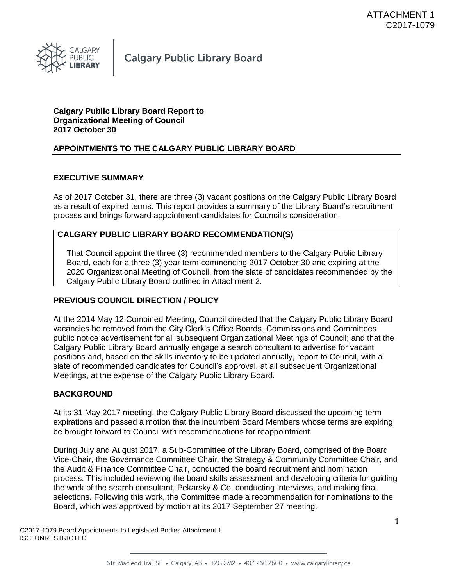

# **Calgary Public Library Board Report to Organizational Meeting of Council 2017 October 30**

# **APPOINTMENTS TO THE CALGARY PUBLIC LIBRARY BOARD**

# **EXECUTIVE SUMMARY**

As of 2017 October 31, there are three (3) vacant positions on the Calgary Public Library Board as a result of expired terms. This report provides a summary of the Library Board's recruitment process and brings forward appointment candidates for Council's consideration.

# **CALGARY PUBLIC LIBRARY BOARD RECOMMENDATION(S)**

That Council appoint the three (3) recommended members to the Calgary Public Library Board, each for a three (3) year term commencing 2017 October 30 and expiring at the 2020 Organizational Meeting of Council, from the slate of candidates recommended by the Calgary Public Library Board outlined in Attachment 2.

# **PREVIOUS COUNCIL DIRECTION / POLICY**

At the 2014 May 12 Combined Meeting, Council directed that the Calgary Public Library Board vacancies be removed from the City Clerk's Office Boards, Commissions and Committees public notice advertisement for all subsequent Organizational Meetings of Council; and that the Calgary Public Library Board annually engage a search consultant to advertise for vacant positions and, based on the skills inventory to be updated annually, report to Council, with a slate of recommended candidates for Council's approval, at all subsequent Organizational Meetings, at the expense of the Calgary Public Library Board.

# **BACKGROUND**

At its 31 May 2017 meeting, the Calgary Public Library Board discussed the upcoming term expirations and passed a motion that the incumbent Board Members whose terms are expiring be brought forward to Council with recommendations for reappointment.

During July and August 2017, a Sub-Committee of the Library Board, comprised of the Board Vice-Chair, the Governance Committee Chair, the Strategy & Community Committee Chair, and the Audit & Finance Committee Chair, conducted the board recruitment and nomination process. This included reviewing the board skills assessment and developing criteria for guiding the work of the search consultant, Pekarsky & Co, conducting interviews, and making final selections. Following this work, the Committee made a recommendation for nominations to the Board, which was approved by motion at its 2017 September 27 meeting.

C2017-1079 Board Appointments to Legislated Bodies Attachment 1 ISC: UNRESTRICTED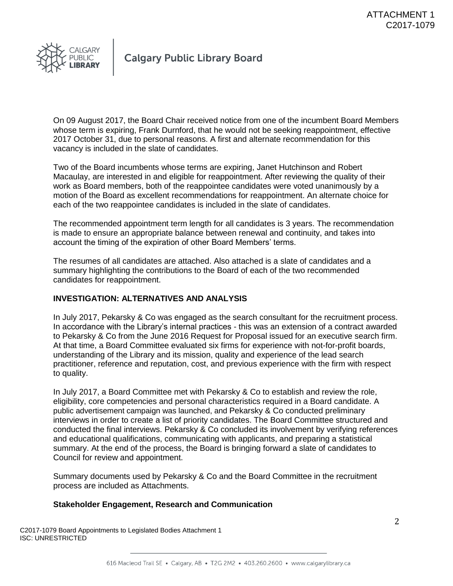

On 09 August 2017, the Board Chair received notice from one of the incumbent Board Members whose term is expiring, Frank Durnford, that he would not be seeking reappointment, effective 2017 October 31, due to personal reasons. A first and alternate recommendation for this vacancy is included in the slate of candidates.

Two of the Board incumbents whose terms are expiring, Janet Hutchinson and Robert Macaulay, are interested in and eligible for reappointment. After reviewing the quality of their work as Board members, both of the reappointee candidates were voted unanimously by a motion of the Board as excellent recommendations for reappointment. An alternate choice for each of the two reappointee candidates is included in the slate of candidates.

The recommended appointment term length for all candidates is 3 years. The recommendation is made to ensure an appropriate balance between renewal and continuity, and takes into account the timing of the expiration of other Board Members' terms.

The resumes of all candidates are attached. Also attached is a slate of candidates and a summary highlighting the contributions to the Board of each of the two recommended candidates for reappointment.

# **INVESTIGATION: ALTERNATIVES AND ANALYSIS**

In July 2017, Pekarsky & Co was engaged as the search consultant for the recruitment process. In accordance with the Library's internal practices - this was an extension of a contract awarded to Pekarsky & Co from the June 2016 Request for Proposal issued for an executive search firm. At that time, a Board Committee evaluated six firms for experience with not-for-profit boards, understanding of the Library and its mission, quality and experience of the lead search practitioner, reference and reputation, cost, and previous experience with the firm with respect to quality.

In July 2017, a Board Committee met with Pekarsky & Co to establish and review the role, eligibility, core competencies and personal characteristics required in a Board candidate. A public advertisement campaign was launched, and Pekarsky & Co conducted preliminary interviews in order to create a list of priority candidates. The Board Committee structured and conducted the final interviews. Pekarsky & Co concluded its involvement by verifying references and educational qualifications, communicating with applicants, and preparing a statistical summary. At the end of the process, the Board is bringing forward a slate of candidates to Council for review and appointment.

Summary documents used by Pekarsky & Co and the Board Committee in the recruitment process are included as Attachments.

# **Stakeholder Engagement, Research and Communication**

C2017-1079 Board Appointments to Legislated Bodies Attachment 1 ISC: UNRESTRICTED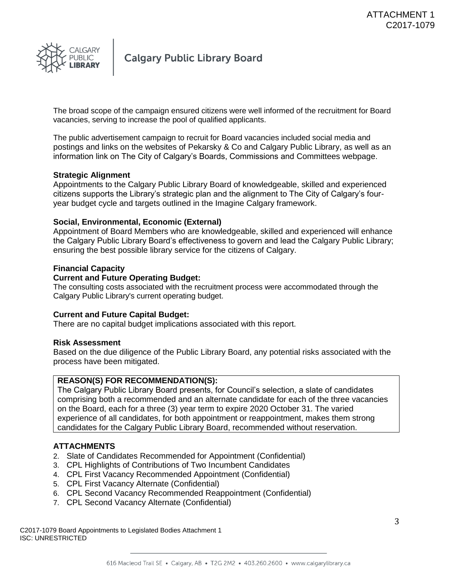

The broad scope of the campaign ensured citizens were well informed of the recruitment for Board vacancies, serving to increase the pool of qualified applicants.

The public advertisement campaign to recruit for Board vacancies included social media and postings and links on the websites of Pekarsky & Co and Calgary Public Library, as well as an information link on The City of Calgary's Boards, Commissions and Committees webpage.

# **Strategic Alignment**

Appointments to the Calgary Public Library Board of knowledgeable, skilled and experienced citizens supports the Library's strategic plan and the alignment to The City of Calgary's fouryear budget cycle and targets outlined in the Imagine Calgary framework.

# **Social, Environmental, Economic (External)**

Appointment of Board Members who are knowledgeable, skilled and experienced will enhance the Calgary Public Library Board's effectiveness to govern and lead the Calgary Public Library; ensuring the best possible library service for the citizens of Calgary.

# **Financial Capacity**

# **Current and Future Operating Budget:**

The consulting costs associated with the recruitment process were accommodated through the Calgary Public Library's current operating budget.

# **Current and Future Capital Budget:**

There are no capital budget implications associated with this report.

# **Risk Assessment**

Based on the due diligence of the Public Library Board, any potential risks associated with the process have been mitigated.

# **REASON(S) FOR RECOMMENDATION(S):**

The Calgary Public Library Board presents, for Council's selection, a slate of candidates comprising both a recommended and an alternate candidate for each of the three vacancies on the Board, each for a three (3) year term to expire 2020 October 31. The varied experience of all candidates, for both appointment or reappointment, makes them strong candidates for the Calgary Public Library Board, recommended without reservation.

# **ATTACHMENTS**

- 2. Slate of Candidates Recommended for Appointment (Confidential)
- 3. CPL Highlights of Contributions of Two Incumbent Candidates
- 4. CPL First Vacancy Recommended Appointment (Confidential)
- 5. CPL First Vacancy Alternate (Confidential)
- 6. CPL Second Vacancy Recommended Reappointment (Confidential)
- 7. CPL Second Vacancy Alternate (Confidential)

C2017-1079 Board Appointments to Legislated Bodies Attachment 1 ISC: UNRESTRICTED